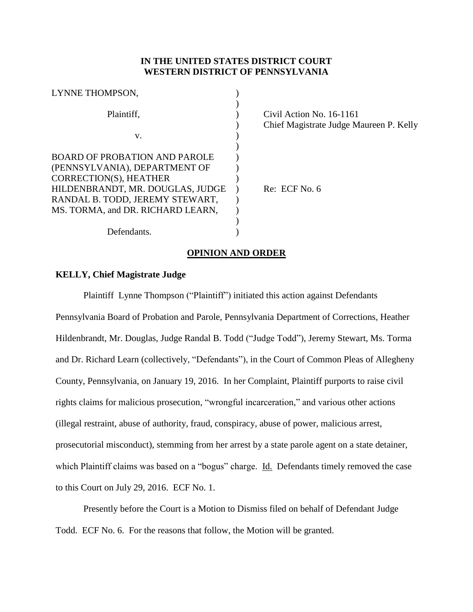# **IN THE UNITED STATES DISTRICT COURT WESTERN DISTRICT OF PENNSYLVANIA**

| LYNNE THOMPSON,                   |                                         |
|-----------------------------------|-----------------------------------------|
|                                   |                                         |
| Plaintiff,                        | Civil Action No. 16-1161                |
|                                   | Chief Magistrate Judge Maureen P. Kelly |
| V.                                |                                         |
|                                   |                                         |
| BOARD OF PROBATION AND PAROLE     |                                         |
| (PENNSYLVANIA), DEPARTMENT OF     |                                         |
| CORRECTION(S), HEATHER            |                                         |
| HILDENBRANDT, MR. DOUGLAS, JUDGE  | Re: ECF No. 6                           |
| RANDAL B. TODD, JEREMY STEWART,   |                                         |
| MS. TORMA, and DR. RICHARD LEARN, |                                         |
|                                   |                                         |
| Defendants.                       |                                         |
|                                   |                                         |

# **OPINION AND ORDER**

### **KELLY, Chief Magistrate Judge**

Plaintiff Lynne Thompson ("Plaintiff") initiated this action against Defendants Pennsylvania Board of Probation and Parole, Pennsylvania Department of Corrections, Heather Hildenbrandt, Mr. Douglas, Judge Randal B. Todd ("Judge Todd"), Jeremy Stewart, Ms. Torma and Dr. Richard Learn (collectively, "Defendants"), in the Court of Common Pleas of Allegheny County, Pennsylvania, on January 19, 2016. In her Complaint, Plaintiff purports to raise civil rights claims for malicious prosecution, "wrongful incarceration," and various other actions (illegal restraint, abuse of authority, fraud, conspiracy, abuse of power, malicious arrest, prosecutorial misconduct), stemming from her arrest by a state parole agent on a state detainer, which Plaintiff claims was based on a "bogus" charge. Id. Defendants timely removed the case to this Court on July 29, 2016. ECF No. 1.

Presently before the Court is a Motion to Dismiss filed on behalf of Defendant Judge Todd. ECF No. 6. For the reasons that follow, the Motion will be granted.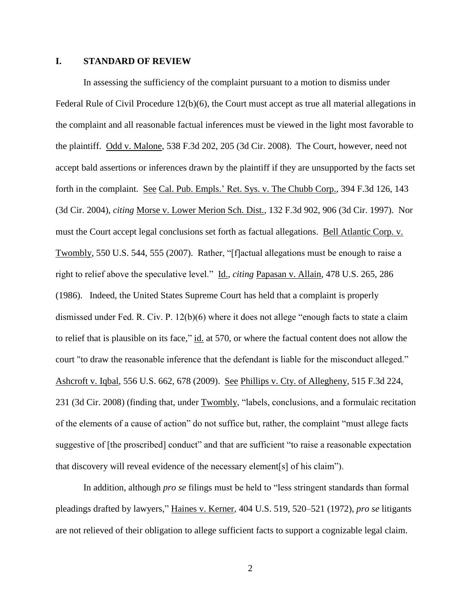### **I. STANDARD OF REVIEW**

In assessing the sufficiency of the complaint pursuant to a motion to dismiss under Federal Rule of Civil Procedure 12(b)(6), the Court must accept as true all material allegations in the complaint and all reasonable factual inferences must be viewed in the light most favorable to the plaintiff. Odd v. Malone, 538 F.3d 202, 205 (3d Cir. 2008). The Court, however, need not accept bald assertions or inferences drawn by the plaintiff if they are unsupported by the facts set forth in the complaint. See Cal. Pub. Empls.' Ret. Sys. v. The Chubb Corp., 394 F.3d 126, 143 (3d Cir. 2004), *citing* Morse v. Lower Merion Sch. Dist., 132 F.3d 902, 906 (3d Cir. 1997). Nor must the Court accept legal conclusions set forth as factual allegations. Bell Atlantic Corp. v. Twombly, 550 U.S. 544, 555 (2007). Rather, "[f]actual allegations must be enough to raise a right to relief above the speculative level." Id., *citing* Papasan v. Allain, 478 U.S. 265, 286 (1986). Indeed, the United States Supreme Court has held that a complaint is properly dismissed under Fed. R. Civ. P. 12(b)(6) where it does not allege "enough facts to state a claim to relief that is plausible on its face," id. at 570, or where the factual content does not allow the court "to draw the reasonable inference that the defendant is liable for the misconduct alleged." Ashcroft v. Iqbal, 556 U.S. 662, 678 (2009). See Phillips v. Cty. of Allegheny, 515 F.3d 224, 231 (3d Cir. 2008) (finding that, under Twombly, "labels, conclusions, and a formulaic recitation of the elements of a cause of action" do not suffice but, rather, the complaint "must allege facts suggestive of [the proscribed] conduct" and that are sufficient "to raise a reasonable expectation that discovery will reveal evidence of the necessary element[s] of his claim").

In addition, although *pro se* filings must be held to "less stringent standards than formal pleadings drafted by lawyers," Haines v. Kerner, 404 U.S. 519, 520–521 (1972), *pro se* litigants are not relieved of their obligation to allege sufficient facts to support a cognizable legal claim.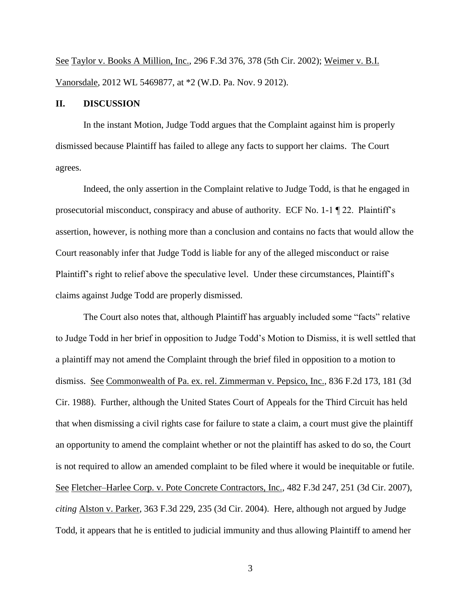See Taylor v. Books A Million, Inc., 296 F.3d 376, 378 (5th Cir. 2002); Weimer v. B.I. Vanorsdale, 2012 WL 5469877, at \*2 (W.D. Pa. Nov. 9 2012).

### **II. DISCUSSION**

In the instant Motion, Judge Todd argues that the Complaint against him is properly dismissed because Plaintiff has failed to allege any facts to support her claims. The Court agrees.

Indeed, the only assertion in the Complaint relative to Judge Todd, is that he engaged in prosecutorial misconduct, conspiracy and abuse of authority. ECF No. 1-1 ¶ 22. Plaintiff's assertion, however, is nothing more than a conclusion and contains no facts that would allow the Court reasonably infer that Judge Todd is liable for any of the alleged misconduct or raise Plaintiff's right to relief above the speculative level. Under these circumstances, Plaintiff's claims against Judge Todd are properly dismissed.

The Court also notes that, although Plaintiff has arguably included some "facts" relative to Judge Todd in her brief in opposition to Judge Todd's Motion to Dismiss, it is well settled that a plaintiff may not amend the Complaint through the brief filed in opposition to a motion to dismiss. See Commonwealth of Pa. ex. rel. Zimmerman v. Pepsico, Inc., 836 F.2d 173, 181 (3d Cir. 1988). Further, although the United States Court of Appeals for the Third Circuit has held that when dismissing a civil rights case for failure to state a claim, a court must give the plaintiff an opportunity to amend the complaint whether or not the plaintiff has asked to do so, the Court is not required to allow an amended complaint to be filed where it would be inequitable or futile. See Fletcher–Harlee Corp. v. Pote Concrete Contractors, Inc., 482 F.3d 247, 251 (3d Cir. 2007), *citing* Alston v. Parker, 363 F.3d 229, 235 (3d Cir. 2004). Here, although not argued by Judge Todd, it appears that he is entitled to judicial immunity and thus allowing Plaintiff to amend her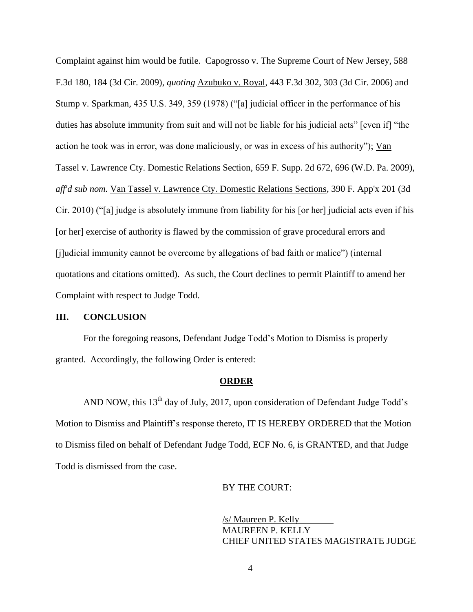Complaint against him would be futile. Capogrosso v. The Supreme Court of New Jersey, 588 F.3d 180, 184 (3d Cir. 2009), *quoting* Azubuko v. Royal*,* 443 F.3d 302, 303 (3d Cir. 2006) and Stump v. Sparkman*,* 435 U.S. 349, 359 (1978) ("[a] judicial officer in the performance of his duties has absolute immunity from suit and will not be liable for his judicial acts" [even if] "the action he took was in error, was done maliciously, or was in excess of his authority"); Van Tassel v. Lawrence Cty. Domestic Relations Section, 659 F. Supp. 2d 672, 696 (W.D. Pa. 2009), *aff'd sub nom.* Van Tassel v. Lawrence Cty. Domestic Relations Sections, 390 F. App'x 201 (3d Cir. 2010) ("[a] judge is absolutely immune from liability for his [or her] judicial acts even if his [or her] exercise of authority is flawed by the commission of grave procedural errors and [j]udicial immunity cannot be overcome by allegations of bad faith or malice") (internal quotations and citations omitted). As such, the Court declines to permit Plaintiff to amend her Complaint with respect to Judge Todd.

## **III. CONCLUSION**

For the foregoing reasons, Defendant Judge Todd's Motion to Dismiss is properly granted. Accordingly, the following Order is entered:

#### **ORDER**

AND NOW, this  $13<sup>th</sup>$  day of July, 2017, upon consideration of Defendant Judge Todd's Motion to Dismiss and Plaintiff's response thereto, IT IS HEREBY ORDERED that the Motion to Dismiss filed on behalf of Defendant Judge Todd, ECF No. 6, is GRANTED, and that Judge Todd is dismissed from the case.

#### BY THE COURT:

/s/ Maureen P. Kelly MAUREEN P. KELLY CHIEF UNITED STATES MAGISTRATE JUDGE